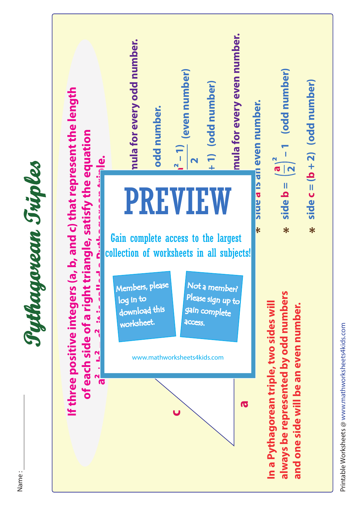

Name :